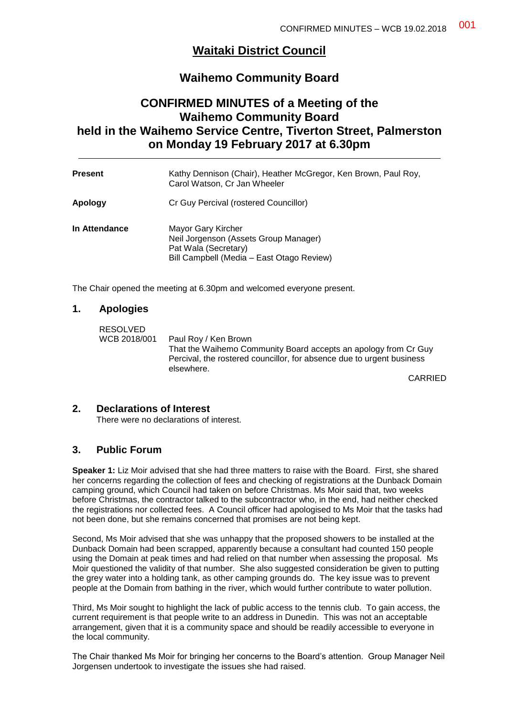# **Waitaki District Council**

# **Waihemo Community Board**

# **CONFIRMED MINUTES of a Meeting of the Waihemo Community Board held in the Waihemo Service Centre, Tiverton Street, Palmerston on Monday 19 February 2017 at 6.30pm**

| <b>Present</b> | Kathy Dennison (Chair), Heather McGregor, Ken Brown, Paul Roy,<br>Carol Watson, Cr Jan Wheeler                                   |
|----------------|----------------------------------------------------------------------------------------------------------------------------------|
| Apology        | Cr Guy Percival (rostered Councillor)                                                                                            |
| In Attendance  | Mayor Gary Kircher<br>Neil Jorgenson (Assets Group Manager)<br>Pat Wala (Secretary)<br>Bill Campbell (Media – East Otago Review) |

The Chair opened the meeting at 6.30pm and welcomed everyone present.

## **1. Apologies**

| <b>RESOLVED</b> |                                                                                     |
|-----------------|-------------------------------------------------------------------------------------|
| WCB 2018/001    | Paul Roy / Ken Brown                                                                |
|                 | That the Waihemo Community Board accepts an apology from Cr Guy                     |
|                 | Percival, the rostered councillor, for absence due to urgent business<br>elsewhere. |
|                 | $\bigcap$ $\bigcap$ $\bigcap$ $\bigcap$                                             |

CARRIED

# **2. Declarations of Interest**

There were no declarations of interest.

# **3. Public Forum**

**Speaker 1:** Liz Moir advised that she had three matters to raise with the Board. First, she shared her concerns regarding the collection of fees and checking of registrations at the Dunback Domain camping ground, which Council had taken on before Christmas. Ms Moir said that, two weeks before Christmas, the contractor talked to the subcontractor who, in the end, had neither checked the registrations nor collected fees. A Council officer had apologised to Ms Moir that the tasks had not been done, but she remains concerned that promises are not being kept.

Second, Ms Moir advised that she was unhappy that the proposed showers to be installed at the Dunback Domain had been scrapped, apparently because a consultant had counted 150 people using the Domain at peak times and had relied on that number when assessing the proposal. Ms Moir questioned the validity of that number. She also suggested consideration be given to putting the grey water into a holding tank, as other camping grounds do. The key issue was to prevent people at the Domain from bathing in the river, which would further contribute to water pollution.

Third, Ms Moir sought to highlight the lack of public access to the tennis club. To gain access, the current requirement is that people write to an address in Dunedin. This was not an acceptable arrangement, given that it is a community space and should be readily accessible to everyone in the local community.

The Chair thanked Ms Moir for bringing her concerns to the Board's attention. Group Manager Neil Jorgensen undertook to investigate the issues she had raised.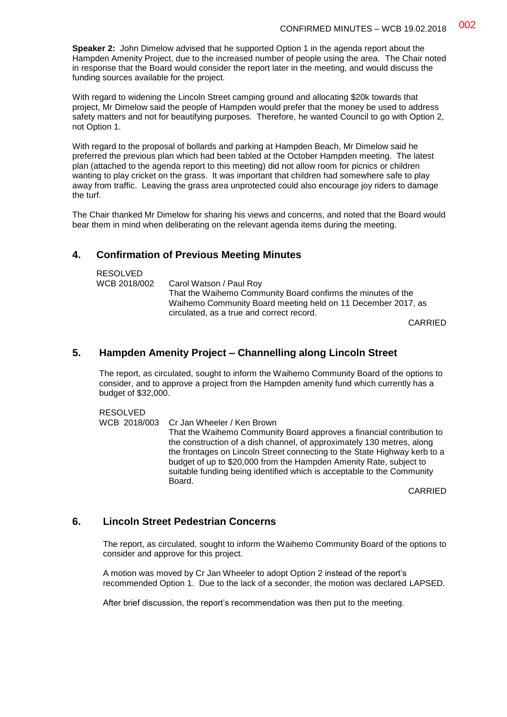**Speaker 2:** John Dimelow advised that he supported Option 1 in the agenda report about the Hampden Amenity Project, due to the increased number of people using the area. The Chair noted in response that the Board would consider the report later in the meeting, and would discuss the funding sources available for the project.

With regard to widening the Lincoln Street camping ground and allocating \$20k towards that project, Mr Dimelow said the people of Hampden would prefer that the money be used to address safety matters and not for beautifying purposes. Therefore, he wanted Council to go with Option 2, not Option 1.

With regard to the proposal of bollards and parking at Hampden Beach, Mr Dimelow said he preferred the previous plan which had been tabled at the October Hampden meeting. The latest plan (attached to the agenda report to this meeting) did not allow room for picnics or children wanting to play cricket on the grass. It was important that children had somewhere safe to play away from traffic. Leaving the grass area unprotected could also encourage joy riders to damage the turf.

The Chair thanked Mr Dimelow for sharing his views and concerns, and noted that the Board would bear them in mind when deliberating on the relevant agenda items during the meeting.

# **4. Confirmation of Previous Meeting Minutes**

| RESOLVED<br>WCB 2018/002<br>Carol Watson / Paul Roy |
|-----------------------------------------------------|
|                                                     |

CARRIED

## **5. Hampden Amenity Project – Channelling along Lincoln Street**

The report, as circulated, sought to inform the Waihemo Community Board of the options to consider, and to approve a project from the Hampden amenity fund which currently has a budget of \$32,000.

RESOLVED<br>WCB 2018/003 Cr Jan Wheeler / Ken Brown That the Waihemo Community Board approves a financial contribution to the construction of a dish channel, of approximately 130 metres, along the frontages on Lincoln Street connecting to the State Highway kerb to a budget of up to \$20,000 from the Hampden Amenity Rate, subject to suitable funding being identified which is acceptable to the Community Board.

CARRIED

## **6. Lincoln Street Pedestrian Concerns**

The report, as circulated, sought to inform the Waihemo Community Board of the options to consider and approve for this project.

A motion was moved by Cr Jan Wheeler to adopt Option 2 instead of the report's recommended Option 1. Due to the lack of a seconder, the motion was declared LAPSED.

After brief discussion, the report's recommendation was then put to the meeting.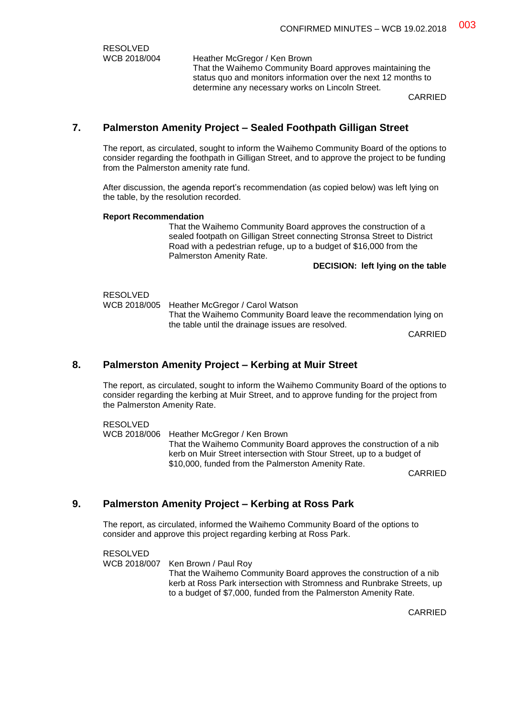RESOLVED<br>WCB 2018/004 Heather McGregor / Ken Brown That the Waihemo Community Board approves maintaining the status quo and monitors information over the next 12 months to determine any necessary works on Lincoln Street.

CARRIED

# **7. Palmerston Amenity Project – Sealed Foothpath Gilligan Street**

The report, as circulated, sought to inform the Waihemo Community Board of the options to consider regarding the foothpath in Gilligan Street, and to approve the project to be funding from the Palmerston amenity rate fund.

After discussion, the agenda report's recommendation (as copied below) was left lying on the table, by the resolution recorded.

#### **Report Recommendation**

That the Waihemo Community Board approves the construction of a sealed footpath on Gilligan Street connecting Stronsa Street to District Road with a pedestrian refuge, up to a budget of \$16,000 from the Palmerston Amenity Rate.

#### **DECISION: left lying on the table**

# RESOLVED<br>WCB 2018/005

Heather McGregor / Carol Watson That the Waihemo Community Board leave the recommendation lying on the table until the drainage issues are resolved.

CARRIED

# **8. Palmerston Amenity Project – Kerbing at Muir Street**

The report, as circulated, sought to inform the Waihemo Community Board of the options to consider regarding the kerbing at Muir Street, and to approve funding for the project from the Palmerston Amenity Rate.

#### RESOLVED

WCB 2018/006 Heather McGregor / Ken Brown That the Waihemo Community Board approves the construction of a nib kerb on Muir Street intersection with Stour Street, up to a budget of \$10,000, funded from the Palmerston Amenity Rate.

CARRIED

# **9. Palmerston Amenity Project – Kerbing at Ross Park**

The report, as circulated, informed the Waihemo Community Board of the options to consider and approve this project regarding kerbing at Ross Park.

RESOLVED WCB 2018/007 Ken Brown / Paul Roy That the Waihemo Community Board approves the construction of a nib kerb at Ross Park intersection with Stromness and Runbrake Streets, up to a budget of \$7,000, funded from the Palmerston Amenity Rate.

CARRIED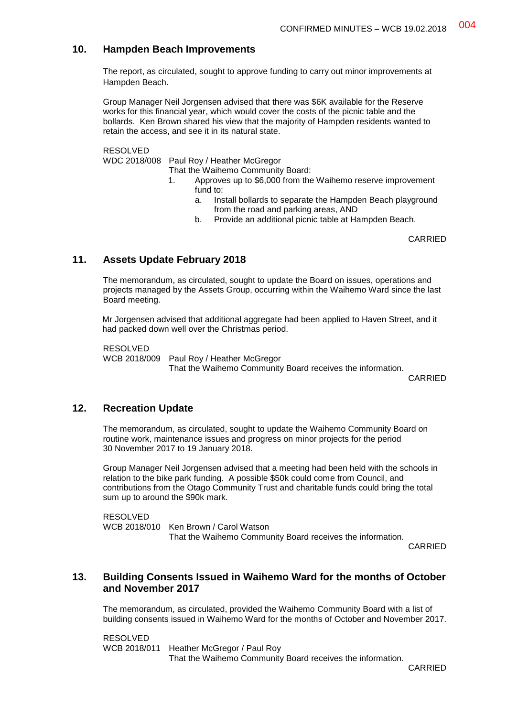# **10. Hampden Beach Improvements**

The report, as circulated, sought to approve funding to carry out minor improvements at Hampden Beach.

Group Manager Neil Jorgensen advised that there was \$6K available for the Reserve works for this financial year, which would cover the costs of the picnic table and the bollards. Ken Brown shared his view that the majority of Hampden residents wanted to retain the access, and see it in its natural state.

RESOLVED

WDC 2018/008 Paul Roy / Heather McGregor

That the Waihemo Community Board:

- 1. Approves up to \$6,000 from the Waihemo reserve improvement fund to:
	- a. Install bollards to separate the Hampden Beach playground from the road and parking areas, AND
	- b. Provide an additional picnic table at Hampden Beach.

CARRIED

# **11. Assets Update February 2018**

The memorandum, as circulated, sought to update the Board on issues, operations and projects managed by the Assets Group, occurring within the Waihemo Ward since the last Board meeting.

Mr Jorgensen advised that additional aggregate had been applied to Haven Street, and it had packed down well over the Christmas period.

RESOLVED

WCB 2018/009 Paul Roy / Heather McGregor

That the Waihemo Community Board receives the information.

CARRIED

# **12. Recreation Update**

The memorandum, as circulated, sought to update the Waihemo Community Board on routine work, maintenance issues and progress on minor projects for the period 30 November 2017 to 19 January 2018.

Group Manager Neil Jorgensen advised that a meeting had been held with the schools in relation to the bike park funding. A possible \$50k could come from Council, and contributions from the Otago Community Trust and charitable funds could bring the total sum up to around the \$90k mark.

RESOLVED WCB 2018/010 Ken Brown / Carol Watson That the Waihemo Community Board receives the information.

CARRIED

# **13. Building Consents Issued in Waihemo Ward for the months of October and November 2017**

The memorandum, as circulated, provided the Waihemo Community Board with a list of building consents issued in Waihemo Ward for the months of October and November 2017.

RESOLVED WCB 2018/011 Heather McGregor / Paul Roy That the Waihemo Community Board receives the information.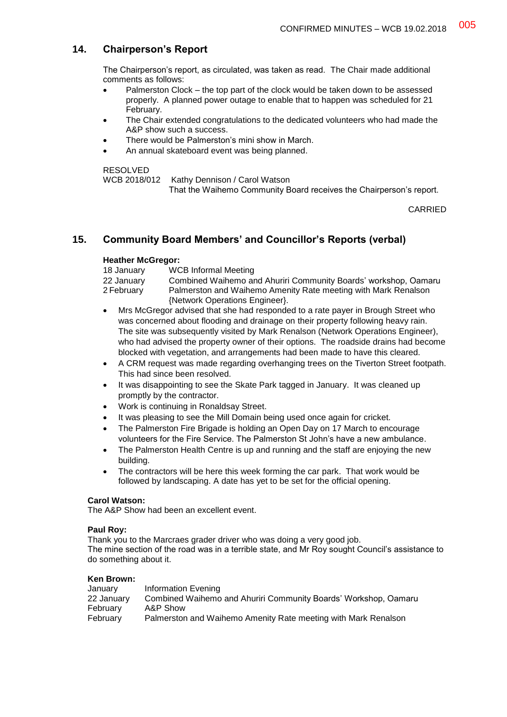# **14. Chairperson's Report**

The Chairperson's report, as circulated, was taken as read. The Chair made additional comments as follows:

- Palmerston Clock the top part of the clock would be taken down to be assessed properly. A planned power outage to enable that to happen was scheduled for 21 February.
- The Chair extended congratulations to the dedicated volunteers who had made the A&P show such a success.
- There would be Palmerston's mini show in March.
- An annual skateboard event was being planned.

#### RESOLVED

WCB 2018/012 Kathy Dennison / Carol Watson

That the Waihemo Community Board receives the Chairperson's report.

CARRIED

# **15. Community Board Members' and Councillor's Reports (verbal)**

### **Heather McGregor:**

| 18 January | <b>WCB Informal Meeting</b>                                     |
|------------|-----------------------------------------------------------------|
| 22 January | Combined Waihemo and Ahuriri Community Boards' workshop, Oamaru |
| 2 February | Palmerston and Waihemo Amenity Rate meeting with Mark Renalson  |
|            | {Network Operations Engineer}.                                  |

- Mrs McGregor advised that she had responded to a rate payer in Brough Street who was concerned about flooding and drainage on their property following heavy rain. The site was subsequently visited by Mark Renalson (Network Operations Engineer), who had advised the property owner of their options. The roadside drains had become blocked with vegetation, and arrangements had been made to have this cleared.
- A CRM request was made regarding overhanging trees on the Tiverton Street footpath. This had since been resolved.
- It was disappointing to see the Skate Park tagged in January. It was cleaned up promptly by the contractor.
- Work is continuing in Ronaldsay Street.
- It was pleasing to see the Mill Domain being used once again for cricket.
- The Palmerston Fire Brigade is holding an Open Day on 17 March to encourage volunteers for the Fire Service. The Palmerston St John's have a new ambulance.
- The Palmerston Health Centre is up and running and the staff are enjoying the new building.
- The contractors will be here this week forming the car park. That work would be followed by landscaping. A date has yet to be set for the official opening.

## **Carol Watson:**

The A&P Show had been an excellent event.

#### **Paul Roy:**

Thank you to the Marcraes grader driver who was doing a very good job. The mine section of the road was in a terrible state, and Mr Roy sought Council's assistance to do something about it.

### **Ken Brown:**

| January    | Information Evening                                             |
|------------|-----------------------------------------------------------------|
| 22 January | Combined Waihemo and Ahuriri Community Boards' Workshop, Oamaru |
| February   | A&P Show                                                        |
| February   | Palmerston and Waihemo Amenity Rate meeting with Mark Renalson  |